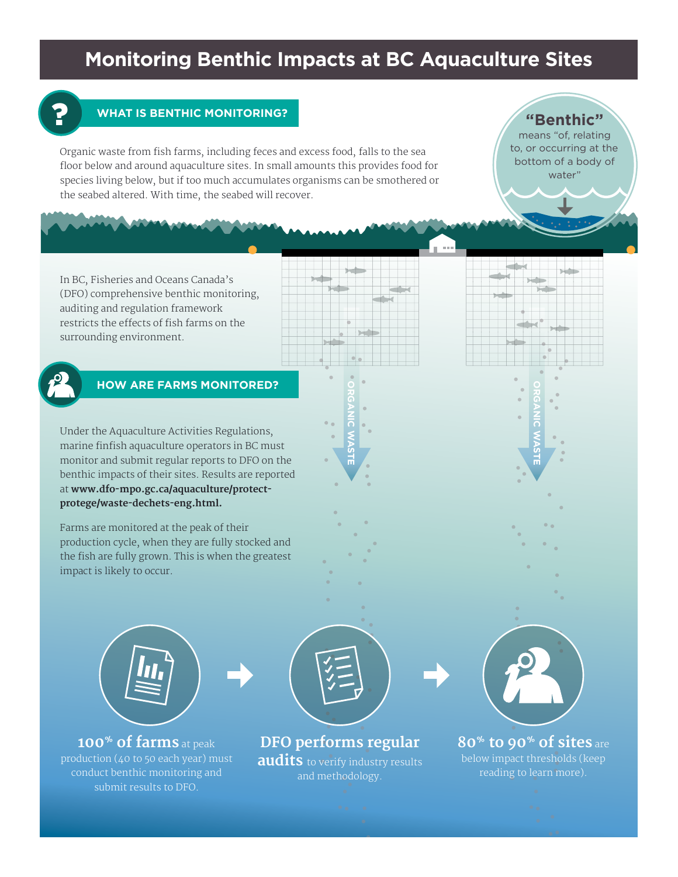## **Monitoring Benthic Impacts at BC Aquaculture Sites**



## **WHAT IS BENTHIC MONITORING?**

Organic waste from fish farms, including feces and excess food, falls to the sea floor below and around aquaculture sites. In small amounts this provides food for species living below, but if too much accumulates organisms can be smothered or the seabed altered. With time, the seabed will recover.

**"Benthic"** 

means "of, relating to, or occurring at the bottom of a body of water"

In BC, Fisheries and Oceans Canada's (DFO) comprehensive benthic monitoring, auditing and regulation framework restricts the effects of fish farms on the surrounding environment.



## **HOW ARE FARMS MONITORED?**

Under the Aquaculture Activities Regulations, marine finfish aquaculture operators in BC must monitor and submit regular reports to DFO on the benthic impacts of their sites. Results are reported at **www.dfo-mpo.gc.ca/aquaculture/protectprotege/waste-dechets-eng.html.** 

Farms are monitored at the peak of their production cycle, when they are fully stocked and the fish are fully grown. This is when the greatest impact is likely to occur.



**100% of farms** at peak production (40 to 50 each year) must conduct benthic monitoring and submit results to DFO.



**ORGANIC WASTE**

**DFO performs regular audits** to verify industry results and methodology.



**ORGANIC WASTE**

**80% to 90% of sites** are below impact thresholds (keep reading to learn more).